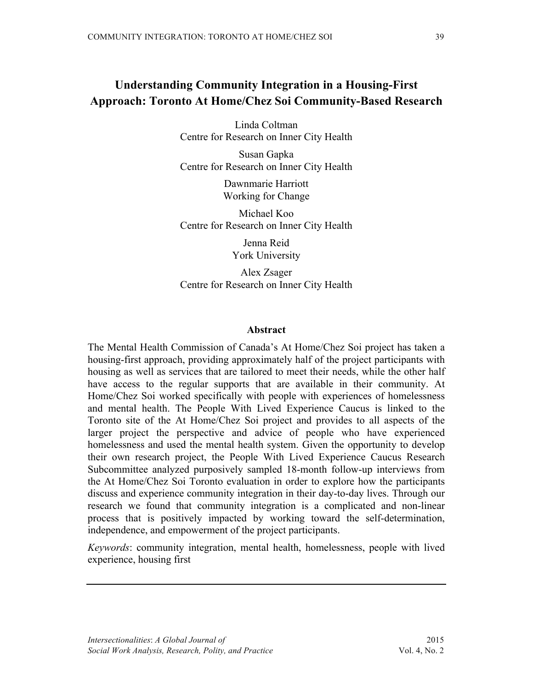# **Understanding Community Integration in a Housing-First Approach: Toronto At Home/Chez Soi Community-Based Research**

Linda Coltman Centre for Research on Inner City Health

Susan Gapka Centre for Research on Inner City Health

> Dawnmarie Harriott Working for Change

Michael Koo Centre for Research on Inner City Health

> Jenna Reid York University

Alex Zsager Centre for Research on Inner City Health

## **Abstract**

The Mental Health Commission of Canada's At Home/Chez Soi project has taken a housing-first approach, providing approximately half of the project participants with housing as well as services that are tailored to meet their needs, while the other half have access to the regular supports that are available in their community. At Home/Chez Soi worked specifically with people with experiences of homelessness and mental health. The People With Lived Experience Caucus is linked to the Toronto site of the At Home/Chez Soi project and provides to all aspects of the larger project the perspective and advice of people who have experienced homelessness and used the mental health system. Given the opportunity to develop their own research project, the People With Lived Experience Caucus Research Subcommittee analyzed purposively sampled 18-month follow-up interviews from the At Home/Chez Soi Toronto evaluation in order to explore how the participants discuss and experience community integration in their day-to-day lives. Through our research we found that community integration is a complicated and non-linear process that is positively impacted by working toward the self-determination, independence, and empowerment of the project participants.

*Keywords*: community integration, mental health, homelessness, people with lived experience, housing first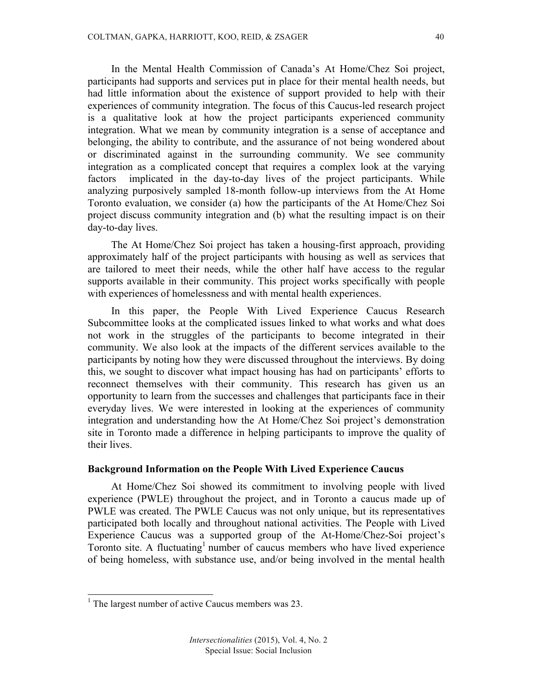In the Mental Health Commission of Canada's At Home/Chez Soi project, participants had supports and services put in place for their mental health needs, but had little information about the existence of support provided to help with their experiences of community integration. The focus of this Caucus-led research project is a qualitative look at how the project participants experienced community integration. What we mean by community integration is a sense of acceptance and belonging, the ability to contribute, and the assurance of not being wondered about or discriminated against in the surrounding community. We see community integration as a complicated concept that requires a complex look at the varying factors implicated in the day-to-day lives of the project participants. While analyzing purposively sampled 18-month follow-up interviews from the At Home Toronto evaluation, we consider (a) how the participants of the At Home/Chez Soi project discuss community integration and (b) what the resulting impact is on their day-to-day lives.

The At Home/Chez Soi project has taken a housing-first approach, providing approximately half of the project participants with housing as well as services that are tailored to meet their needs, while the other half have access to the regular supports available in their community. This project works specifically with people with experiences of homelessness and with mental health experiences.

In this paper, the People With Lived Experience Caucus Research Subcommittee looks at the complicated issues linked to what works and what does not work in the struggles of the participants to become integrated in their community. We also look at the impacts of the different services available to the participants by noting how they were discussed throughout the interviews. By doing this, we sought to discover what impact housing has had on participants' efforts to reconnect themselves with their community. This research has given us an opportunity to learn from the successes and challenges that participants face in their everyday lives. We were interested in looking at the experiences of community integration and understanding how the At Home/Chez Soi project's demonstration site in Toronto made a difference in helping participants to improve the quality of their lives.

# **Background Information on the People With Lived Experience Caucus**

At Home/Chez Soi showed its commitment to involving people with lived experience (PWLE) throughout the project, and in Toronto a caucus made up of PWLE was created. The PWLE Caucus was not only unique, but its representatives participated both locally and throughout national activities. The People with Lived Experience Caucus was a supported group of the At-Home/Chez-Soi project's Toronto site. A fluctuating<sup>1</sup> number of caucus members who have lived experience of being homeless, with substance use, and/or being involved in the mental health

<sup>&</sup>lt;sup>1</sup> The largest number of active Caucus members was 23.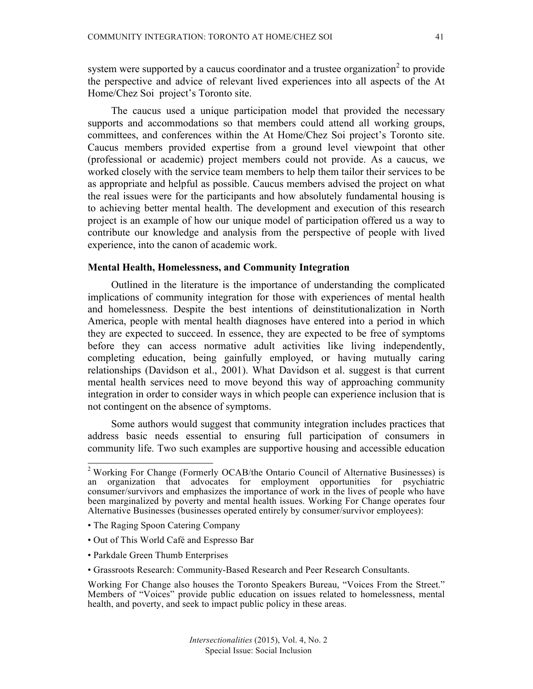system were supported by a caucus coordinator and a trustee organization<sup>2</sup> to provide the perspective and advice of relevant lived experiences into all aspects of the At Home/Chez Soi project's Toronto site.

The caucus used a unique participation model that provided the necessary supports and accommodations so that members could attend all working groups, committees, and conferences within the At Home/Chez Soi project's Toronto site. Caucus members provided expertise from a ground level viewpoint that other (professional or academic) project members could not provide. As a caucus, we worked closely with the service team members to help them tailor their services to be as appropriate and helpful as possible. Caucus members advised the project on what the real issues were for the participants and how absolutely fundamental housing is to achieving better mental health. The development and execution of this research project is an example of how our unique model of participation offered us a way to contribute our knowledge and analysis from the perspective of people with lived experience, into the canon of academic work.

### **Mental Health, Homelessness, and Community Integration**

Outlined in the literature is the importance of understanding the complicated implications of community integration for those with experiences of mental health and homelessness. Despite the best intentions of deinstitutionalization in North America, people with mental health diagnoses have entered into a period in which they are expected to succeed. In essence, they are expected to be free of symptoms before they can access normative adult activities like living independently, completing education, being gainfully employed, or having mutually caring relationships (Davidson et al., 2001). What Davidson et al. suggest is that current mental health services need to move beyond this way of approaching community integration in order to consider ways in which people can experience inclusion that is not contingent on the absence of symptoms.

Some authors would suggest that community integration includes practices that address basic needs essential to ensuring full participation of consumers in community life. Two such examples are supportive housing and accessible education

- Out of This World Café and Espresso Bar
- Parkdale Green Thumb Enterprises

<sup>&</sup>lt;sup>2</sup> Working For Change (Formerly OCAB/the Ontario Council of Alternative Businesses) is an organization that advocates for employment opportunities for psychiatric consumer/survivors and emphasizes the importance of work in the lives of people who have been marginalized by poverty and mental health issues. Working For Change operates four Alternative Businesses (businesses operated entirely by consumer/survivor employees):

<sup>•</sup> The Raging Spoon Catering Company

<sup>•</sup> Grassroots Research: Community-Based Research and Peer Research Consultants.

Working For Change also houses the Toronto Speakers Bureau, "Voices From the Street." Members of "Voices" provide public education on issues related to homelessness, mental health, and poverty, and seek to impact public policy in these areas.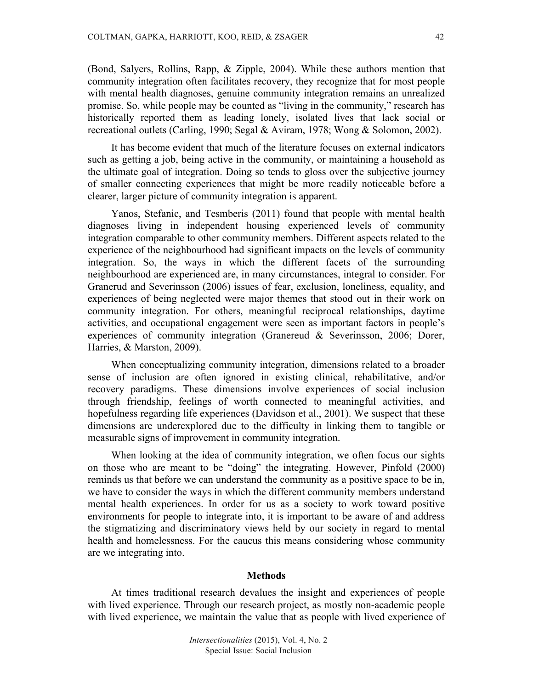(Bond, Salyers, Rollins, Rapp, & Zipple, 2004). While these authors mention that community integration often facilitates recovery, they recognize that for most people with mental health diagnoses, genuine community integration remains an unrealized promise. So, while people may be counted as "living in the community," research has historically reported them as leading lonely, isolated lives that lack social or recreational outlets (Carling, 1990; Segal & Aviram, 1978; Wong & Solomon, 2002).

It has become evident that much of the literature focuses on external indicators such as getting a job, being active in the community, or maintaining a household as the ultimate goal of integration. Doing so tends to gloss over the subjective journey of smaller connecting experiences that might be more readily noticeable before a clearer, larger picture of community integration is apparent.

Yanos, Stefanic, and Tesmberis (2011) found that people with mental health diagnoses living in independent housing experienced levels of community integration comparable to other community members. Different aspects related to the experience of the neighbourhood had significant impacts on the levels of community integration. So, the ways in which the different facets of the surrounding neighbourhood are experienced are, in many circumstances, integral to consider. For Granerud and Severinsson (2006) issues of fear, exclusion, loneliness, equality, and experiences of being neglected were major themes that stood out in their work on community integration. For others, meaningful reciprocal relationships, daytime activities, and occupational engagement were seen as important factors in people's experiences of community integration (Granereud & Severinsson, 2006; Dorer, Harries, & Marston, 2009).

When conceptualizing community integration, dimensions related to a broader sense of inclusion are often ignored in existing clinical, rehabilitative, and/or recovery paradigms. These dimensions involve experiences of social inclusion through friendship, feelings of worth connected to meaningful activities, and hopefulness regarding life experiences (Davidson et al., 2001). We suspect that these dimensions are underexplored due to the difficulty in linking them to tangible or measurable signs of improvement in community integration.

When looking at the idea of community integration, we often focus our sights on those who are meant to be "doing" the integrating. However, Pinfold (2000) reminds us that before we can understand the community as a positive space to be in, we have to consider the ways in which the different community members understand mental health experiences. In order for us as a society to work toward positive environments for people to integrate into, it is important to be aware of and address the stigmatizing and discriminatory views held by our society in regard to mental health and homelessness. For the caucus this means considering whose community are we integrating into.

#### **Methods**

At times traditional research devalues the insight and experiences of people with lived experience. Through our research project, as mostly non-academic people with lived experience, we maintain the value that as people with lived experience of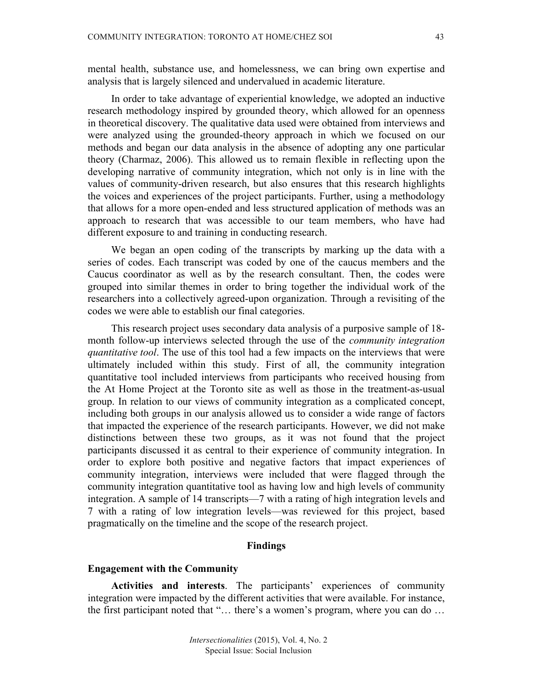mental health, substance use, and homelessness, we can bring own expertise and analysis that is largely silenced and undervalued in academic literature.

In order to take advantage of experiential knowledge, we adopted an inductive research methodology inspired by grounded theory, which allowed for an openness in theoretical discovery. The qualitative data used were obtained from interviews and were analyzed using the grounded-theory approach in which we focused on our methods and began our data analysis in the absence of adopting any one particular theory (Charmaz, 2006). This allowed us to remain flexible in reflecting upon the developing narrative of community integration, which not only is in line with the values of community-driven research, but also ensures that this research highlights the voices and experiences of the project participants. Further, using a methodology that allows for a more open-ended and less structured application of methods was an approach to research that was accessible to our team members, who have had different exposure to and training in conducting research.

We began an open coding of the transcripts by marking up the data with a series of codes. Each transcript was coded by one of the caucus members and the Caucus coordinator as well as by the research consultant. Then, the codes were grouped into similar themes in order to bring together the individual work of the researchers into a collectively agreed-upon organization. Through a revisiting of the codes we were able to establish our final categories.

This research project uses secondary data analysis of a purposive sample of 18 month follow-up interviews selected through the use of the *community integration quantitative tool*. The use of this tool had a few impacts on the interviews that were ultimately included within this study. First of all, the community integration quantitative tool included interviews from participants who received housing from the At Home Project at the Toronto site as well as those in the treatment-as-usual group. In relation to our views of community integration as a complicated concept, including both groups in our analysis allowed us to consider a wide range of factors that impacted the experience of the research participants. However, we did not make distinctions between these two groups, as it was not found that the project participants discussed it as central to their experience of community integration. In order to explore both positive and negative factors that impact experiences of community integration, interviews were included that were flagged through the community integration quantitative tool as having low and high levels of community integration. A sample of 14 transcripts—7 with a rating of high integration levels and 7 with a rating of low integration levels—was reviewed for this project, based pragmatically on the timeline and the scope of the research project.

# **Findings**

#### **Engagement with the Community**

**Activities and interests**. The participants' experiences of community integration were impacted by the different activities that were available. For instance, the first participant noted that "… there's a women's program, where you can do …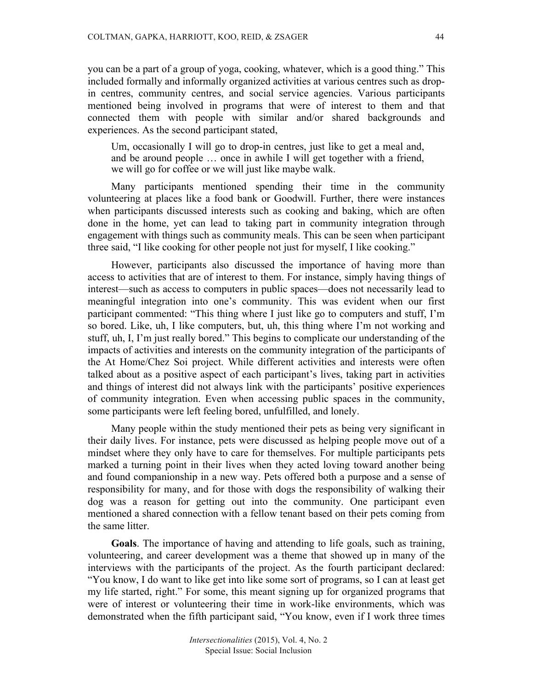you can be a part of a group of yoga, cooking, whatever, which is a good thing." This included formally and informally organized activities at various centres such as dropin centres, community centres, and social service agencies. Various participants mentioned being involved in programs that were of interest to them and that connected them with people with similar and/or shared backgrounds and experiences. As the second participant stated,

Um, occasionally I will go to drop-in centres, just like to get a meal and, and be around people … once in awhile I will get together with a friend, we will go for coffee or we will just like maybe walk.

Many participants mentioned spending their time in the community volunteering at places like a food bank or Goodwill. Further, there were instances when participants discussed interests such as cooking and baking, which are often done in the home, yet can lead to taking part in community integration through engagement with things such as community meals. This can be seen when participant three said, "I like cooking for other people not just for myself, I like cooking."

However, participants also discussed the importance of having more than access to activities that are of interest to them. For instance, simply having things of interest—such as access to computers in public spaces—does not necessarily lead to meaningful integration into one's community. This was evident when our first participant commented: "This thing where I just like go to computers and stuff, I'm so bored. Like, uh, I like computers, but, uh, this thing where I'm not working and stuff, uh, I, I'm just really bored." This begins to complicate our understanding of the impacts of activities and interests on the community integration of the participants of the At Home/Chez Soi project. While different activities and interests were often talked about as a positive aspect of each participant's lives, taking part in activities and things of interest did not always link with the participants' positive experiences of community integration. Even when accessing public spaces in the community, some participants were left feeling bored, unfulfilled, and lonely.

Many people within the study mentioned their pets as being very significant in their daily lives. For instance, pets were discussed as helping people move out of a mindset where they only have to care for themselves. For multiple participants pets marked a turning point in their lives when they acted loving toward another being and found companionship in a new way. Pets offered both a purpose and a sense of responsibility for many, and for those with dogs the responsibility of walking their dog was a reason for getting out into the community. One participant even mentioned a shared connection with a fellow tenant based on their pets coming from the same litter.

**Goals**. The importance of having and attending to life goals, such as training, volunteering, and career development was a theme that showed up in many of the interviews with the participants of the project. As the fourth participant declared: "You know, I do want to like get into like some sort of programs, so I can at least get my life started, right." For some, this meant signing up for organized programs that were of interest or volunteering their time in work-like environments, which was demonstrated when the fifth participant said, "You know, even if I work three times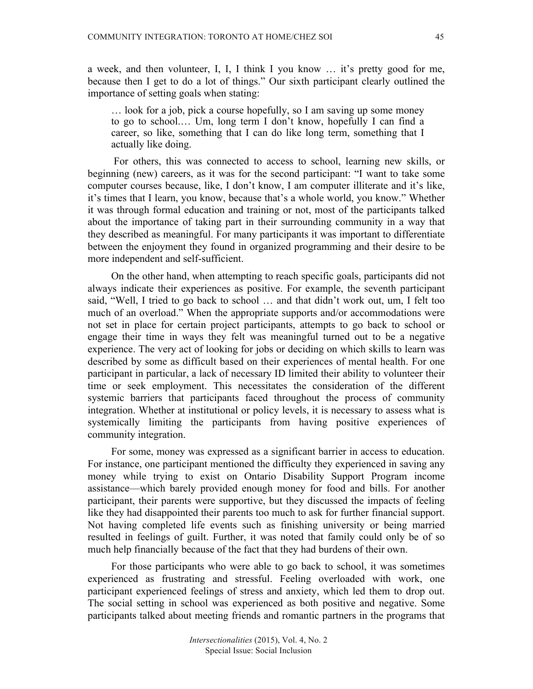a week, and then volunteer, I, I, I think I you know … it's pretty good for me, because then I get to do a lot of things." Our sixth participant clearly outlined the importance of setting goals when stating:

… look for a job, pick a course hopefully, so I am saving up some money to go to school.… Um, long term I don't know, hopefully I can find a career, so like, something that I can do like long term, something that I actually like doing.

For others, this was connected to access to school, learning new skills, or beginning (new) careers, as it was for the second participant: "I want to take some computer courses because, like, I don't know, I am computer illiterate and it's like, it's times that I learn, you know, because that's a whole world, you know." Whether it was through formal education and training or not, most of the participants talked about the importance of taking part in their surrounding community in a way that they described as meaningful. For many participants it was important to differentiate between the enjoyment they found in organized programming and their desire to be more independent and self-sufficient.

On the other hand, when attempting to reach specific goals, participants did not always indicate their experiences as positive. For example, the seventh participant said, "Well, I tried to go back to school … and that didn't work out, um, I felt too much of an overload." When the appropriate supports and/or accommodations were not set in place for certain project participants, attempts to go back to school or engage their time in ways they felt was meaningful turned out to be a negative experience. The very act of looking for jobs or deciding on which skills to learn was described by some as difficult based on their experiences of mental health. For one participant in particular, a lack of necessary ID limited their ability to volunteer their time or seek employment. This necessitates the consideration of the different systemic barriers that participants faced throughout the process of community integration. Whether at institutional or policy levels, it is necessary to assess what is systemically limiting the participants from having positive experiences of community integration.

For some, money was expressed as a significant barrier in access to education. For instance, one participant mentioned the difficulty they experienced in saving any money while trying to exist on Ontario Disability Support Program income assistance—which barely provided enough money for food and bills. For another participant, their parents were supportive, but they discussed the impacts of feeling like they had disappointed their parents too much to ask for further financial support. Not having completed life events such as finishing university or being married resulted in feelings of guilt. Further, it was noted that family could only be of so much help financially because of the fact that they had burdens of their own.

For those participants who were able to go back to school, it was sometimes experienced as frustrating and stressful. Feeling overloaded with work, one participant experienced feelings of stress and anxiety, which led them to drop out. The social setting in school was experienced as both positive and negative. Some participants talked about meeting friends and romantic partners in the programs that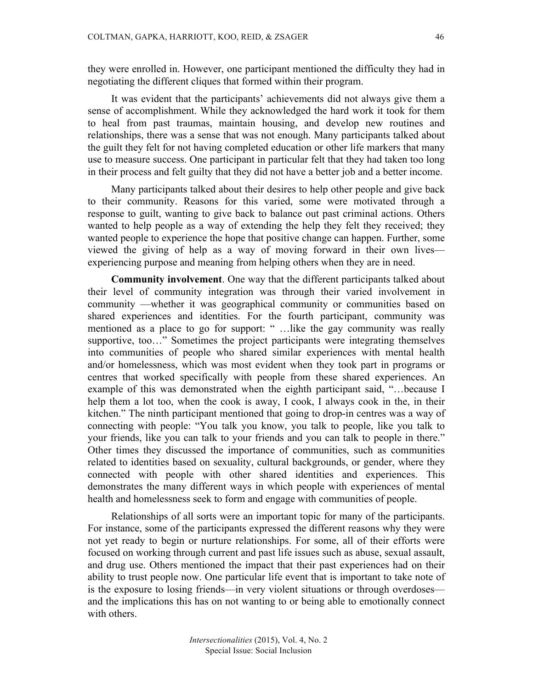they were enrolled in. However, one participant mentioned the difficulty they had in negotiating the different cliques that formed within their program.

It was evident that the participants' achievements did not always give them a sense of accomplishment. While they acknowledged the hard work it took for them to heal from past traumas, maintain housing, and develop new routines and relationships, there was a sense that was not enough. Many participants talked about the guilt they felt for not having completed education or other life markers that many use to measure success. One participant in particular felt that they had taken too long in their process and felt guilty that they did not have a better job and a better income.

Many participants talked about their desires to help other people and give back to their community. Reasons for this varied, some were motivated through a response to guilt, wanting to give back to balance out past criminal actions. Others wanted to help people as a way of extending the help they felt they received; they wanted people to experience the hope that positive change can happen. Further, some viewed the giving of help as a way of moving forward in their own lives experiencing purpose and meaning from helping others when they are in need.

**Community involvement**. One way that the different participants talked about their level of community integration was through their varied involvement in community —whether it was geographical community or communities based on shared experiences and identities. For the fourth participant, community was mentioned as a place to go for support: " …like the gay community was really supportive, too…" Sometimes the project participants were integrating themselves into communities of people who shared similar experiences with mental health and/or homelessness, which was most evident when they took part in programs or centres that worked specifically with people from these shared experiences. An example of this was demonstrated when the eighth participant said, "…because I help them a lot too, when the cook is away, I cook, I always cook in the, in their kitchen." The ninth participant mentioned that going to drop-in centres was a way of connecting with people: "You talk you know, you talk to people, like you talk to your friends, like you can talk to your friends and you can talk to people in there." Other times they discussed the importance of communities, such as communities related to identities based on sexuality, cultural backgrounds, or gender, where they connected with people with other shared identities and experiences. This demonstrates the many different ways in which people with experiences of mental health and homelessness seek to form and engage with communities of people.

Relationships of all sorts were an important topic for many of the participants. For instance, some of the participants expressed the different reasons why they were not yet ready to begin or nurture relationships. For some, all of their efforts were focused on working through current and past life issues such as abuse, sexual assault, and drug use. Others mentioned the impact that their past experiences had on their ability to trust people now. One particular life event that is important to take note of is the exposure to losing friends—in very violent situations or through overdoses and the implications this has on not wanting to or being able to emotionally connect with others.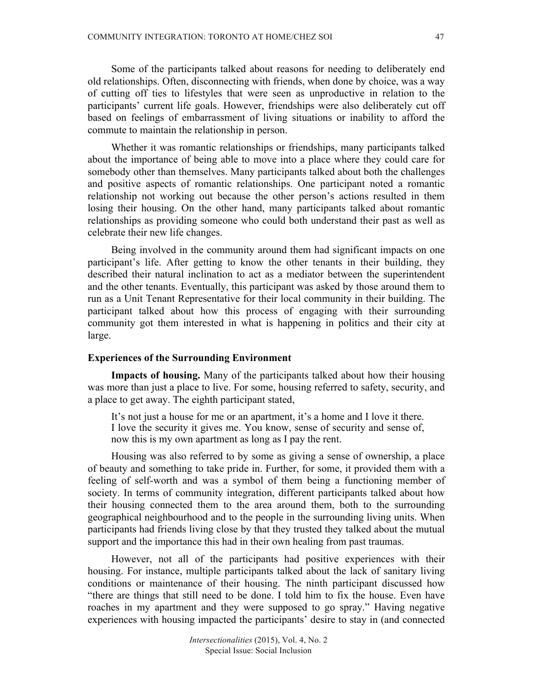Some of the participants talked about reasons for needing to deliberately end old relationships. Often, disconnecting with friends, when done by choice, was a way of cutting off ties to lifestyles that were seen as unproductive in relation to the participants' current life goals. However, friendships were also deliberately cut off based on feelings of embarrassment of living situations or inability to afford the commute to maintain the relationship in person.

Whether it was romantic relationships or friendships, many participants talked about the importance of being able to move into a place where they could care for somebody other than themselves. Many participants talked about both the challenges and positive aspects of romantic relationships. One participant noted a romantic relationship not working out because the other person's actions resulted in them losing their housing. On the other hand, many participants talked about romantic relationships as providing someone who could both understand their past as well as celebrate their new life changes.

Being involved in the community around them had significant impacts on one participant's life. After getting to know the other tenants in their building, they described their natural inclination to act as a mediator between the superintendent and the other tenants. Eventually, this participant was asked by those around them to run as a Unit Tenant Representative for their local community in their building. The participant talked about how this process of engaging with their surrounding community got them interested in what is happening in politics and their city at large.

# **Experiences of the Surrounding Environment**

**Impacts of housing.** Many of the participants talked about how their housing was more than just a place to live. For some, housing referred to safety, security, and a place to get away. The eighth participant stated,

It's not just a house for me or an apartment, it's a home and I love it there. I love the security it gives me. You know, sense of security and sense of, now this is my own apartment as long as I pay the rent.

Housing was also referred to by some as giving a sense of ownership, a place of beauty and something to take pride in. Further, for some, it provided them with a feeling of self-worth and was a symbol of them being a functioning member of society. In terms of community integration, different participants talked about how their housing connected them to the area around them, both to the surrounding geographical neighbourhood and to the people in the surrounding living units. When participants had friends living close by that they trusted they talked about the mutual support and the importance this had in their own healing from past traumas.

However, not all of the participants had positive experiences with their housing. For instance, multiple participants talked about the lack of sanitary living conditions or maintenance of their housing. The ninth participant discussed how "there are things that still need to be done. I told him to fix the house. Even have roaches in my apartment and they were supposed to go spray." Having negative experiences with housing impacted the participants' desire to stay in (and connected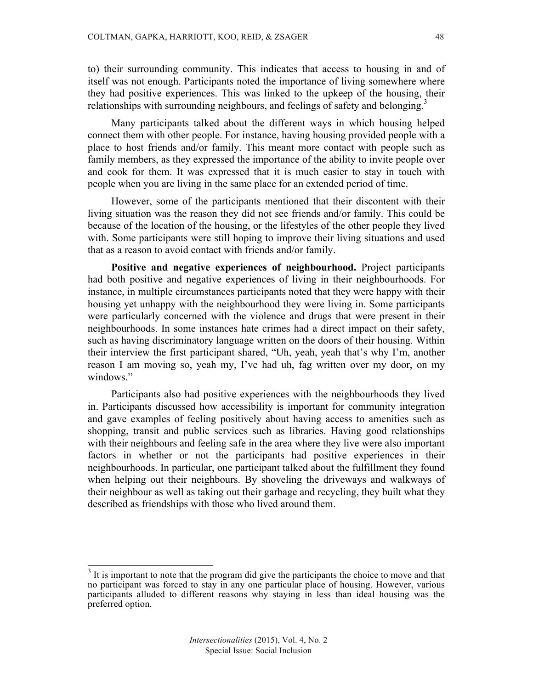to) their surrounding community. This indicates that access to housing in and of itself was not enough. Participants noted the importance of living somewhere where they had positive experiences. This was linked to the upkeep of the housing, their relationships with surrounding neighbours, and feelings of safety and belonging.<sup>3</sup>

Many participants talked about the different ways in which housing helped connect them with other people. For instance, having housing provided people with a place to host friends and/or family. This meant more contact with people such as family members, as they expressed the importance of the ability to invite people over and cook for them. It was expressed that it is much easier to stay in touch with people when you are living in the same place for an extended period of time.

However, some of the participants mentioned that their discontent with their living situation was the reason they did not see friends and/or family. This could be because of the location of the housing, or the lifestyles of the other people they lived with. Some participants were still hoping to improve their living situations and used that as a reason to avoid contact with friends and/or family.

**Positive and negative experiences of neighbourhood.** Project participants had both positive and negative experiences of living in their neighbourhoods. For instance, in multiple circumstances participants noted that they were happy with their housing yet unhappy with the neighbourhood they were living in. Some participants were particularly concerned with the violence and drugs that were present in their neighbourhoods. In some instances hate crimes had a direct impact on their safety, such as having discriminatory language written on the doors of their housing. Within their interview the first participant shared, "Uh, yeah, yeah that's why I'm, another reason I am moving so, yeah my, I've had uh, fag written over my door, on my windows."

Participants also had positive experiences with the neighbourhoods they lived in. Participants discussed how accessibility is important for community integration and gave examples of feeling positively about having access to amenities such as shopping, transit and public services such as libraries. Having good relationships with their neighbours and feeling safe in the area where they live were also important factors in whether or not the participants had positive experiences in their neighbourhoods. In particular, one participant talked about the fulfillment they found when helping out their neighbours. By shoveling the driveways and walkways of their neighbour as well as taking out their garbage and recycling, they built what they described as friendships with those who lived around them.

 $3$  It is important to note that the program did give the participants the choice to move and that no participant was forced to stay in any one particular place of housing. However, various participants alluded to different reasons why staying in less than ideal housing was the preferred option.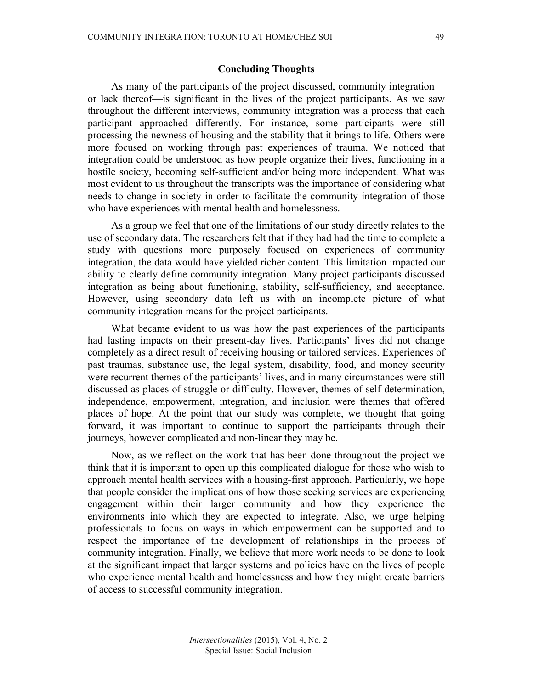# **Concluding Thoughts**

As many of the participants of the project discussed, community integration or lack thereof—is significant in the lives of the project participants. As we saw throughout the different interviews, community integration was a process that each participant approached differently. For instance, some participants were still processing the newness of housing and the stability that it brings to life. Others were more focused on working through past experiences of trauma. We noticed that integration could be understood as how people organize their lives, functioning in a hostile society, becoming self-sufficient and/or being more independent. What was most evident to us throughout the transcripts was the importance of considering what needs to change in society in order to facilitate the community integration of those who have experiences with mental health and homelessness.

As a group we feel that one of the limitations of our study directly relates to the use of secondary data. The researchers felt that if they had had the time to complete a study with questions more purposely focused on experiences of community integration, the data would have yielded richer content. This limitation impacted our ability to clearly define community integration. Many project participants discussed integration as being about functioning, stability, self-sufficiency, and acceptance. However, using secondary data left us with an incomplete picture of what community integration means for the project participants.

What became evident to us was how the past experiences of the participants had lasting impacts on their present-day lives. Participants' lives did not change completely as a direct result of receiving housing or tailored services. Experiences of past traumas, substance use, the legal system, disability, food, and money security were recurrent themes of the participants' lives, and in many circumstances were still discussed as places of struggle or difficulty. However, themes of self-determination, independence, empowerment, integration, and inclusion were themes that offered places of hope. At the point that our study was complete, we thought that going forward, it was important to continue to support the participants through their journeys, however complicated and non-linear they may be.

Now, as we reflect on the work that has been done throughout the project we think that it is important to open up this complicated dialogue for those who wish to approach mental health services with a housing-first approach. Particularly, we hope that people consider the implications of how those seeking services are experiencing engagement within their larger community and how they experience the environments into which they are expected to integrate. Also, we urge helping professionals to focus on ways in which empowerment can be supported and to respect the importance of the development of relationships in the process of community integration. Finally, we believe that more work needs to be done to look at the significant impact that larger systems and policies have on the lives of people who experience mental health and homelessness and how they might create barriers of access to successful community integration.